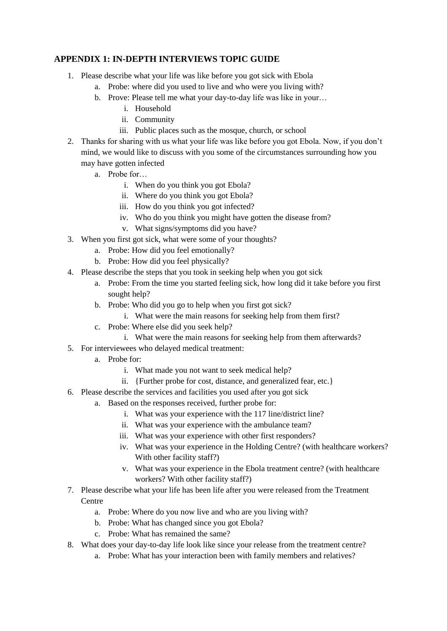## **APPENDIX 1: IN-DEPTH INTERVIEWS TOPIC GUIDE**

- 1. Please describe what your life was like before you got sick with Ebola
	- a. Probe: where did you used to live and who were you living with?
	- b. Prove: Please tell me what your day-to-day life was like in your…
		- i. Household
		- ii. Community
		- iii. Public places such as the mosque, church, or school
- 2. Thanks for sharing with us what your life was like before you got Ebola. Now, if you don't mind, we would like to discuss with you some of the circumstances surrounding how you may have gotten infected
	- a. Probe for…
		- i. When do you think you got Ebola?
		- ii. Where do you think you got Ebola?
		- iii. How do you think you got infected?
		- iv. Who do you think you might have gotten the disease from?
		- v. What signs/symptoms did you have?
- 3. When you first got sick, what were some of your thoughts?
	- a. Probe: How did you feel emotionally?
	- b. Probe: How did you feel physically?
- 4. Please describe the steps that you took in seeking help when you got sick
	- a. Probe: From the time you started feeling sick, how long did it take before you first sought help?
	- b. Probe: Who did you go to help when you first got sick?
		- i. What were the main reasons for seeking help from them first?
	- c. Probe: Where else did you seek help?
		- i. What were the main reasons for seeking help from them afterwards?
- 5. For interviewees who delayed medical treatment:
	- a. Probe for:
		- i. What made you not want to seek medical help?
		- ii. {Further probe for cost, distance, and generalized fear, etc.}
- 6. Please describe the services and facilities you used after you got sick
	- a. Based on the responses received, further probe for:
		- i. What was your experience with the 117 line/district line?
		- ii. What was your experience with the ambulance team?
		- iii. What was your experience with other first responders?
		- iv. What was your experience in the Holding Centre? (with healthcare workers? With other facility staff?)
		- v. What was your experience in the Ebola treatment centre? (with healthcare workers? With other facility staff?)
- 7. Please describe what your life has been life after you were released from the Treatment **Centre** 
	- a. Probe: Where do you now live and who are you living with?
	- b. Probe: What has changed since you got Ebola?
	- c. Probe: What has remained the same?
- 8. What does your day-to-day life look like since your release from the treatment centre?
	- a. Probe: What has your interaction been with family members and relatives?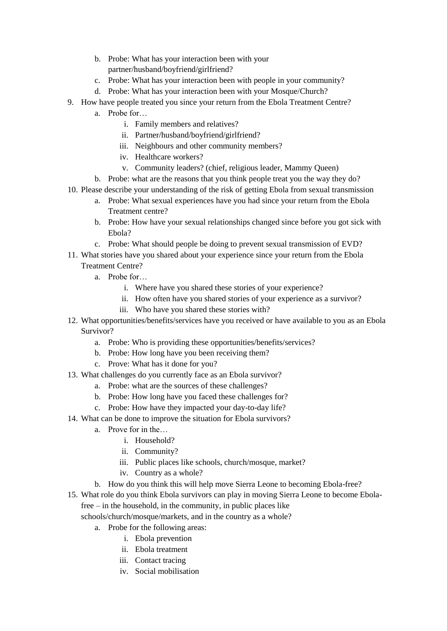- b. Probe: What has your interaction been with your partner/husband/boyfriend/girlfriend?
- c. Probe: What has your interaction been with people in your community?
- d. Probe: What has your interaction been with your Mosque/Church?
- 9. How have people treated you since your return from the Ebola Treatment Centre?
	- a. Probe for…
		- i. Family members and relatives?
		- ii. Partner/husband/boyfriend/girlfriend?
		- iii. Neighbours and other community members?
		- iv. Healthcare workers?
		- v. Community leaders? (chief, religious leader, Mammy Queen)
	- b. Probe: what are the reasons that you think people treat you the way they do?
- 10. Please describe your understanding of the risk of getting Ebola from sexual transmission
	- a. Probe: What sexual experiences have you had since your return from the Ebola Treatment centre?
	- b. Probe: How have your sexual relationships changed since before you got sick with Ebola?
	- c. Probe: What should people be doing to prevent sexual transmission of EVD?
- 11. What stories have you shared about your experience since your return from the Ebola Treatment Centre?
	- a. Probe for…
		- i. Where have you shared these stories of your experience?
		- ii. How often have you shared stories of your experience as a survivor?
		- iii. Who have you shared these stories with?
- 12. What opportunities/benefits/services have you received or have available to you as an Ebola Survivor?
	- a. Probe: Who is providing these opportunities/benefits/services?
	- b. Probe: How long have you been receiving them?
	- c. Prove: What has it done for you?
- 13. What challenges do you currently face as an Ebola survivor?
	- a. Probe: what are the sources of these challenges?
	- b. Probe: How long have you faced these challenges for?
	- c. Probe: How have they impacted your day-to-day life?
- 14. What can be done to improve the situation for Ebola survivors?
	- a. Prove for in the…
		- i. Household?
		- ii. Community?
		- iii. Public places like schools, church/mosque, market?
		- iv. Country as a whole?
	- b. How do you think this will help move Sierra Leone to becoming Ebola-free?
- 15. What role do you think Ebola survivors can play in moving Sierra Leone to become Ebolafree – in the household, in the community, in public places like

schools/church/mosque/markets, and in the country as a whole?

- a. Probe for the following areas:
	- i. Ebola prevention
	- ii. Ebola treatment
	- iii. Contact tracing
	- iv. Social mobilisation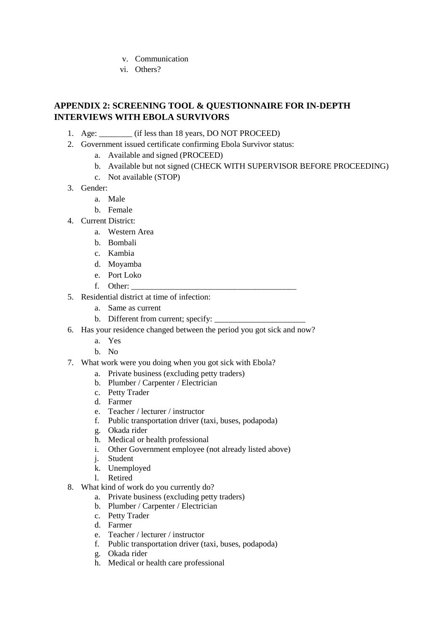- v. Communication
- vi. Others?

## **APPENDIX 2: SCREENING TOOL & QUESTIONNAIRE FOR IN-DEPTH INTERVIEWS WITH EBOLA SURVIVORS**

- 1. Age: \_\_\_\_\_\_\_\_ (if less than 18 years, DO NOT PROCEED)
- 2. Government issued certificate confirming Ebola Survivor status:
	- a. Available and signed (PROCEED)
	- b. Available but not signed (CHECK WITH SUPERVISOR BEFORE PROCEEDING)
	- c. Not available (STOP)
- 3. Gender:
	- a. Male
	- b. Female
- 4. Current District:
	- a. Western Area
	- b. Bombali
	- c. Kambia
	- d. Moyamba
	- e. Port Loko
	- f. Other:
- 5. Residential district at time of infection:
	- a. Same as current
	- b. Different from current; specify:
- 6. Has your residence changed between the period you got sick and now?
	- a. Yes
	- b. No
- 7. What work were you doing when you got sick with Ebola?
	- a. Private business (excluding petty traders)
	- b. Plumber / Carpenter / Electrician
	- c. Petty Trader
	- d. Farmer
	- e. Teacher / lecturer / instructor
	- f. Public transportation driver (taxi, buses, podapoda)
	- g. Okada rider
	- h. Medical or health professional
	- i. Other Government employee (not already listed above)
	- j. Student
	- k. Unemployed
	- l. Retired
- 8. What kind of work do you currently do?
	- a. Private business (excluding petty traders)
	- b. Plumber / Carpenter / Electrician
	- c. Petty Trader
	- d. Farmer
	- e. Teacher / lecturer / instructor
	- f. Public transportation driver (taxi, buses, podapoda)
	- g. Okada rider
	- h. Medical or health care professional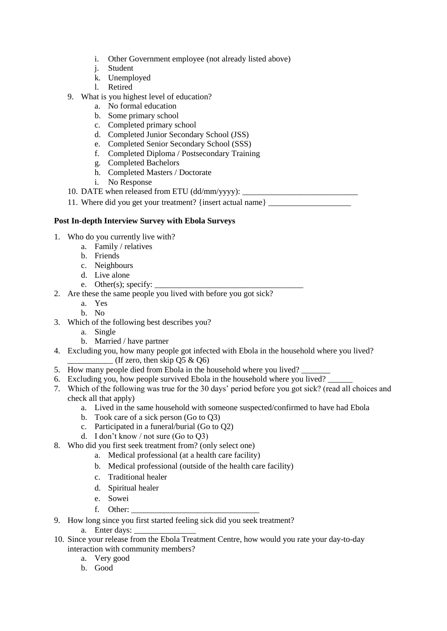- i. Other Government employee (not already listed above)
- j. Student
- k. Unemployed
- l. Retired
- 9. What is you highest level of education?
	- a. No formal education
	- b. Some primary school
	- c. Completed primary school
	- d. Completed Junior Secondary School (JSS)
	- e. Completed Senior Secondary School (SSS)
	- f. Completed Diploma / Postsecondary Training
	- g. Completed Bachelors
	- h. Completed Masters / Doctorate
	- i. No Response
- 10. DATE when released from ETU (dd/mm/yyyy): \_\_\_\_\_\_\_\_\_\_\_\_\_\_\_\_\_\_\_\_\_\_\_\_\_\_\_\_
- 11. Where did you get your treatment? {insert actual name}

## **Post In-depth Interview Survey with Ebola Surveys**

- 1. Who do you currently live with?
	- a. Family / relatives
	- b. Friends
	- c. Neighbours
	- d. Live alone
	- e. Other(s); specify:  $\overline{\phantom{a}}$
- 2. Are these the same people you lived with before you got sick?
	- a. Yes
	- b. No
- 3. Which of the following best describes you?
	- a. Single
	- b. Married / have partner
- 4. Excluding you, how many people got infected with Ebola in the household where you lived? (If zero, then skip  $\overline{Q5} \& \overline{Q6}$ )
- 5. How many people died from Ebola in the household where you lived?
- 6. Excluding you, how people survived Ebola in the household where you lived?
- 7. Which of the following was true for the 30 days' period before you got sick? (read all choices and check all that apply)
	- a. Lived in the same household with someone suspected/confirmed to have had Ebola
	- b. Took care of a sick person (Go to Q3)
	- c. Participated in a funeral/burial (Go to Q2)
	- d. I don't know / not sure (Go to Q3)
- 8. Who did you first seek treatment from? (only select one)
	- a. Medical professional (at a health care facility)
		- b. Medical professional (outside of the health care facility)
		- c. Traditional healer
		- d. Spiritual healer
		- e. Sowei
		- f. Other:
- 9. How long since you first started feeling sick did you seek treatment?
	- a. Enter days:
- 10. Since your release from the Ebola Treatment Centre, how would you rate your day-to-day interaction with community members?
	- a. Very good
	- b. Good